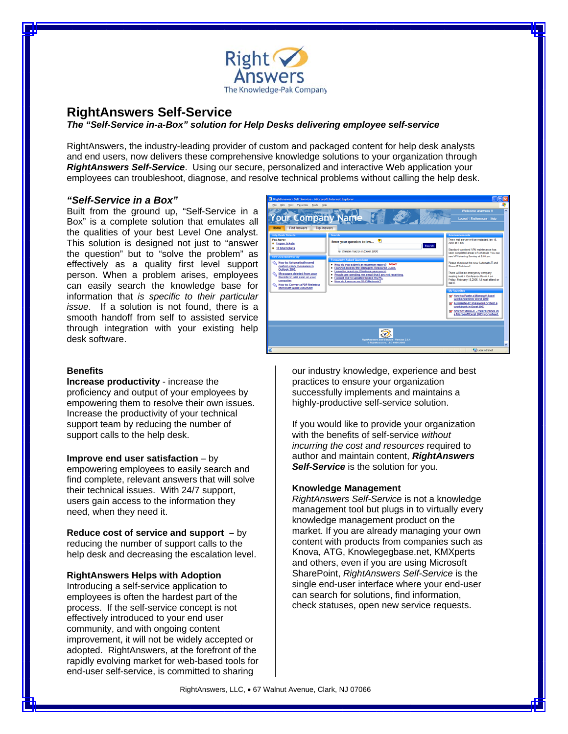

### **RightAnswers Self-Service**

*The "Self-Service in-a-Box" solution for Help Desks delivering employee self-service* 

RightAnswers, the industry-leading provider of custom and packaged content for help desk analysts and end users, now delivers these comprehensive knowledge solutions to your organization through *RightAnswers Self-Service*. Using our secure, personalized and interactive Web application your employees can troubleshoot, diagnose, and resolve technical problems without calling the help desk.

#### *"Self-Service in a Box"*

Built from the ground up, "Self-Service in a Box" is a complete solution that emulates all the qualities of your best Level One analyst. This solution is designed not just to "answer the question" but to "solve the problem" as effectively as a quality first level support person. When a problem arises, employees can easily search the knowledge base for information that *is specific to their particular issue*. If a solution is not found, there is a smooth handoff from self to assisted service through integration with your existing help desk software.

# Your Company Name ie: Create marm in Evrel 2000 **Now do you submit an expense re**<br>Leannot access the Managers Res  $\ddot{\circ}$ **Q** Local intri

#### **Benefits**

**Increase productivity** - increase the proficiency and output of your employees by empowering them to resolve their own issues. Increase the productivity of your technical support team by reducing the number of support calls to the help desk.

**Improve end user satisfaction** – by

empowering employees to easily search and find complete, relevant answers that will solve their technical issues. With 24/7 support, users gain access to the information they need, when they need it.

**Reduce cost of service and support –** by reducing the number of support calls to the help desk and decreasing the escalation level.

#### **RightAnswers Helps with Adoption**

Introducing a self-service application to employees is often the hardest part of the process. If the self-service concept is not effectively introduced to your end user community, and with ongoing content improvement, it will not be widely accepted or adopted. RightAnswers, at the forefront of the rapidly evolving market for web-based tools for end-user self-service, is committed to sharing

our industry knowledge, experience and best practices to ensure your organization successfully implements and maintains a highly-productive self-service solution.

If you would like to provide your organization with the benefits of self-service *without incurring the cost and resources* required to author and maintain content, *RightAnswers Self-Service* is the solution for you.

#### **Knowledge Management**

*RightAnswers Self-Service* is not a knowledge management tool but plugs in to virtually every knowledge management product on the market. If you are already managing your own content with products from companies such as Knova, ATG, Knowlegegbase.net, KMXperts and others, even if you are using Microsoft SharePoint, *RightAnswers Self-Service* is the single end-user interface where your end-user can search for solutions, find information, check statuses, open new service requests.

RightAnswers, LLC, • 67 Walnut Avenue, Clark, NJ 07066